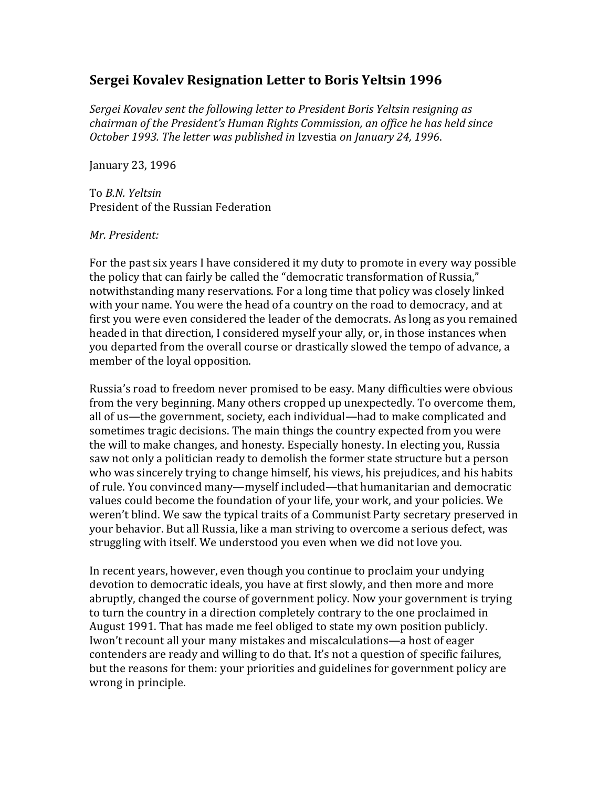## **Sergei Kovalev Resignation Letter to Boris Yeltsin 1996**

*Sergei Kovalev sent the following letter to President Boris Yeltsin resigning as chairman of the President's Human Rights Commission, an office he has held since October 1993. The letter was published in* Izvestia *on January 24, 1996*.

## January 23, 1996

To *B.N. Yeltsin* President of the Russian Federation

## *Mr. President:*

For the past six years I have considered it my duty to promote in every way possible the policy that can fairly be called the "democratic transformation of Russia," notwithstanding many reservations. For a long time that policy was closely linked with your name. You were the head of a country on the road to democracy, and at first you were even considered the leader of the democrats. As long as you remained headed in that direction, I considered myself your ally, or, in those instances when you departed from the overall course or drastically slowed the tempo of advance, a member of the loyal opposition.

Russia's road to freedom never promised to be easy. Many difficulties were obvious from the very beginning. Many others cropped up unexpectedly. To overcome them, all of us—the government, society, each individual—had to make complicated and sometimes tragic decisions. The main things the country expected from you were the will to make changes, and honesty. Especially honesty. In electing you, Russia saw not only a politician ready to demolish the former state structure but a person who was sincerely trying to change himself, his views, his prejudices, and his habits of rule. You convinced many—myself included—that humanitarian and democratic values could become the foundation of your life, your work, and your policies. We weren't blind. We saw the typical traits of a Communist Party secretary preserved in your behavior. But all Russia, like a man striving to overcome a serious defect, was struggling with itself. We understood you even when we did not love you.

In recent years, however, even though you continue to proclaim your undying devotion to democratic ideals, you have at first slowly, and then more and more abruptly, changed the course of government policy. Now your government is trying to turn the country in a direction completely contrary to the one proclaimed in August 1991. That has made me feel obliged to state my own position publicly. Iwon't recount all your many mistakes and miscalculations—a host of eager contenders are ready and willing to do that. It's not a question of specific failures, but the reasons for them: your priorities and guidelines for government policy are wrong in principle.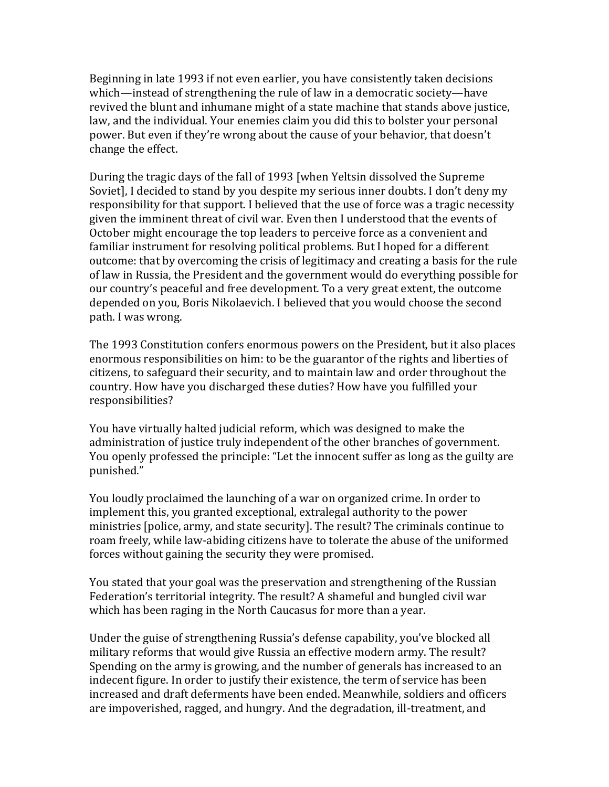Beginning in late 1993 if not even earlier, you have consistently taken decisions which—instead of strengthening the rule of law in a democratic society—have revived the blunt and inhumane might of a state machine that stands above justice, law, and the individual. Your enemies claim you did this to bolster your personal power. But even if they're wrong about the cause of your behavior, that doesn't change the effect.

During the tragic days of the fall of 1993 [when Yeltsin dissolved the Supreme Soviet], I decided to stand by you despite my serious inner doubts. I don't deny my responsibility for that support. I believed that the use of force was a tragic necessity given the imminent threat of civil war. Even then I understood that the events of October might encourage the top leaders to perceive force as a convenient and familiar instrument for resolving political problems. But I hoped for a different outcome: that by overcoming the crisis of legitimacy and creating a basis for the rule of law in Russia, the President and the government would do everything possible for our country's peaceful and free development. To a very great extent, the outcome depended on you, Boris Nikolaevich. I believed that you would choose the second path. I was wrong.

The 1993 Constitution confers enormous powers on the President, but it also places enormous responsibilities on him: to be the guarantor of the rights and liberties of citizens, to safeguard their security, and to maintain law and order throughout the country. How have you discharged these duties? How have you fulfilled your responsibilities?

You have virtually halted judicial reform, which was designed to make the administration of justice truly independent of the other branches of government. You openly professed the principle: "Let the innocent suffer as long as the guilty are punished."

You loudly proclaimed the launching of a war on organized crime. In order to implement this, you granted exceptional, extralegal authority to the power ministries [police, army, and state security]. The result? The criminals continue to roam freely, while law-abiding citizens have to tolerate the abuse of the uniformed forces without gaining the security they were promised.

You stated that your goal was the preservation and strengthening of the Russian Federation's territorial integrity. The result? A shameful and bungled civil war which has been raging in the North Caucasus for more than a year.

Under the guise of strengthening Russia's defense capability, you've blocked all military reforms that would give Russia an effective modern army. The result? Spending on the army is growing, and the number of generals has increased to an indecent figure. In order to justify their existence, the term of service has been increased and draft deferments have been ended. Meanwhile, soldiers and officers are impoverished, ragged, and hungry. And the degradation, ill-treatment, and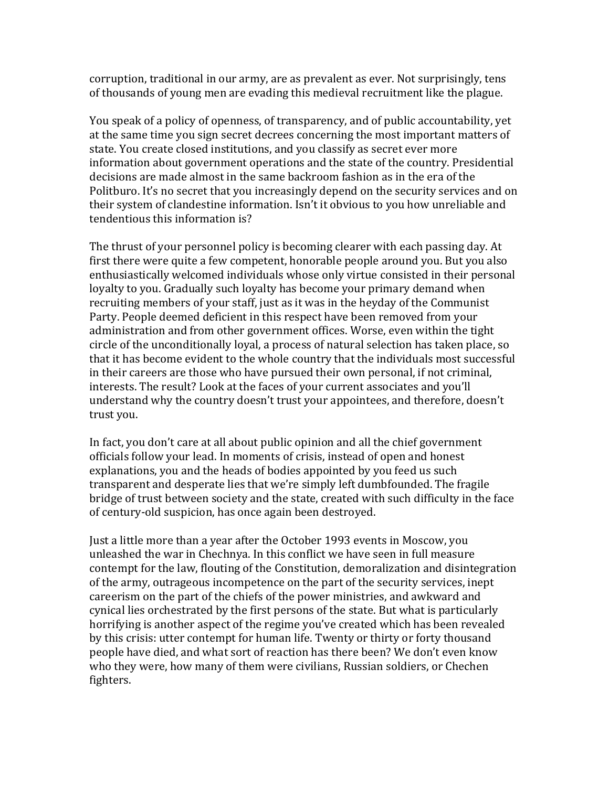corruption, traditional in our army, are as prevalent as ever. Not surprisingly, tens of thousands of young men are evading this medieval recruitment like the plague.

You speak of a policy of openness, of transparency, and of public accountability, yet at the same time you sign secret decrees concerning the most important matters of state. You create closed institutions, and you classify as secret ever more information about government operations and the state of the country. Presidential decisions are made almost in the same backroom fashion as in the era of the Politburo. It's no secret that you increasingly depend on the security services and on their system of clandestine information. Isn't it obvious to you how unreliable and tendentious this information is?

The thrust of your personnel policy is becoming clearer with each passing day. At first there were quite a few competent, honorable people around you. But you also enthusiastically welcomed individuals whose only virtue consisted in their personal loyalty to you. Gradually such loyalty has become your primary demand when recruiting members of your staff, just as it was in the heyday of the Communist Party. People deemed deficient in this respect have been removed from your administration and from other government offices. Worse, even within the tight circle of the unconditionally loyal, a process of natural selection has taken place, so that it has become evident to the whole country that the individuals most successful in their careers are those who have pursued their own personal, if not criminal, interests. The result? Look at the faces of your current associates and you'll understand why the country doesn't trust your appointees, and therefore, doesn't trust you.

In fact, you don't care at all about public opinion and all the chief government officials follow your lead. In moments of crisis, instead of open and honest explanations, you and the heads of bodies appointed by you feed us such transparent and desperate lies that we're simply left dumbfounded. The fragile bridge of trust between society and the state, created with such difficulty in the face of century-old suspicion, has once again been destroyed.

Just a little more than a year after the October 1993 events in Moscow, you unleashed the war in Chechnya. In this conflict we have seen in full measure contempt for the law, flouting of the Constitution, demoralization and disintegration of the army, outrageous incompetence on the part of the security services, inept careerism on the part of the chiefs of the power ministries, and awkward and cynical lies orchestrated by the first persons of the state. But what is particularly horrifying is another aspect of the regime you've created which has been revealed by this crisis: utter contempt for human life. Twenty or thirty or forty thousand people have died, and what sort of reaction has there been? We don't even know who they were, how many of them were civilians, Russian soldiers, or Chechen fighters.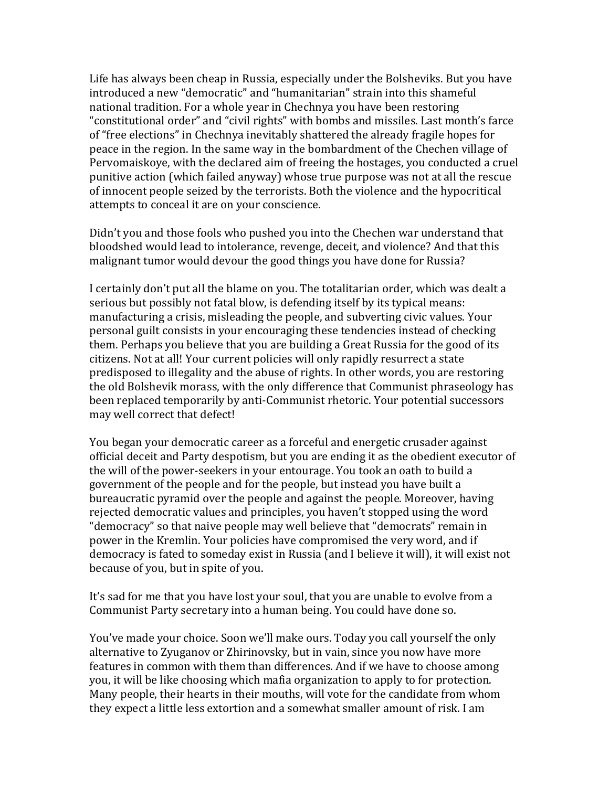Life has always been cheap in Russia, especially under the Bolsheviks. But you have introduced a new "democratic" and "humanitarian" strain into this shameful national tradition. For a whole year in Chechnya you have been restoring "constitutional order" and "civil rights" with bombs and missiles. Last month's farce of "free elections" in Chechnya inevitably shattered the already fragile hopes for peace in the region. In the same way in the bombardment of the Chechen village of Pervomaiskoye, with the declared aim of freeing the hostages, you conducted a cruel punitive action (which failed anyway) whose true purpose was not at all the rescue of innocent people seized by the terrorists. Both the violence and the hypocritical attempts to conceal it are on your conscience.

Didn't you and those fools who pushed you into the Chechen war understand that bloodshed would lead to intolerance, revenge, deceit, and violence? And that this malignant tumor would devour the good things you have done for Russia?

I certainly don't put all the blame on you. The totalitarian order, which was dealt a serious but possibly not fatal blow, is defending itself by its typical means: manufacturing a crisis, misleading the people, and subverting civic values. Your personal guilt consists in your encouraging these tendencies instead of checking them. Perhaps you believe that you are building a Great Russia for the good of its citizens. Not at all! Your current policies will only rapidly resurrect a state predisposed to illegality and the abuse of rights. In other words, you are restoring the old Bolshevik morass, with the only difference that Communist phraseology has been replaced temporarily by anti-Communist rhetoric. Your potential successors may well correct that defect!

You began your democratic career as a forceful and energetic crusader against official deceit and Party despotism, but you are ending it as the obedient executor of the will of the power-seekers in your entourage. You took an oath to build a government of the people and for the people, but instead you have built a bureaucratic pyramid over the people and against the people. Moreover, having rejected democratic values and principles, you haven't stopped using the word "democracy" so that naive people may well believe that "democrats" remain in power in the Kremlin. Your policies have compromised the very word, and if democracy is fated to someday exist in Russia (and I believe it will), it will exist not because of you, but in spite of you.

It's sad for me that you have lost your soul, that you are unable to evolve from a Communist Party secretary into a human being. You could have done so.

You've made your choice. Soon we'll make ours. Today you call yourself the only alternative to Zyuganov or Zhirinovsky, but in vain, since you now have more features in common with them than differences. And if we have to choose among you, it will be like choosing which mafia organization to apply to for protection. Many people, their hearts in their mouths, will vote for the candidate from whom they expect a little less extortion and a somewhat smaller amount of risk. I am